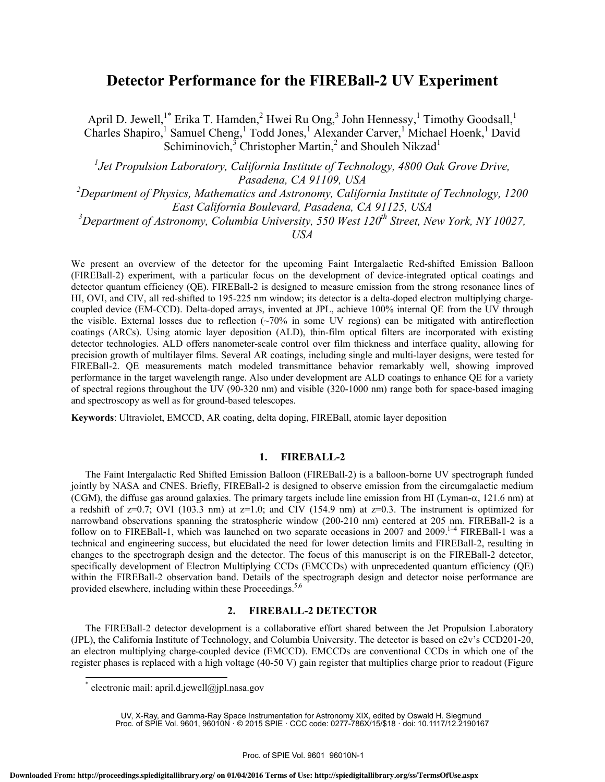# **Detector Performance for the FIREBall-2 UV Experiment**

April D. Jewell,<sup>1\*</sup> Erika T. Hamden,<sup>2</sup> Hwei Ru Ong,<sup>3</sup> John Hennessy,<sup>1</sup> Timothy Goodsall,<sup>1</sup> Charles Shapiro,<sup>1</sup> Samuel Cheng,<sup>1</sup> Todd Jones,<sup>1</sup> Alexander Carver,<sup>1</sup> Michael Hoenk,<sup>1</sup> David Schiminovich,  $\overline{3}$  Christopher Martin,<sup>2</sup> and Shouleh Nikzad<sup>1</sup>

<sup>1</sup> Jet Propulsion Laboratory, California Institute of Technology, 4800 Oak Grove Drive, *Pasadena, CA 91109, USA* 

*2 Department of Physics, Mathematics and Astronomy, California Institute of Technology, 1200 East California Boulevard, Pasadena, CA 91125, USA* 

*3 Department of Astronomy, Columbia University, 550 West 120th Street, New York, NY 10027,* 

*USA* 

We present an overview of the detector for the upcoming Faint Intergalactic Red-shifted Emission Balloon (FIREBall-2) experiment, with a particular focus on the development of device-integrated optical coatings and detector quantum efficiency (QE). FIREBall-2 is designed to measure emission from the strong resonance lines of HI, OVI, and CIV, all red-shifted to 195-225 nm window; its detector is a delta-doped electron multiplying chargecoupled device (EM-CCD). Delta-doped arrays, invented at JPL, achieve 100% internal QE from the UV through the visible. External losses due to reflection (~70% in some UV regions) can be mitigated with antireflection coatings (ARCs). Using atomic layer deposition (ALD), thin-film optical filters are incorporated with existing detector technologies. ALD offers nanometer-scale control over film thickness and interface quality, allowing for precision growth of multilayer films. Several AR coatings, including single and multi-layer designs, were tested for FIREBall-2. QE measurements match modeled transmittance behavior remarkably well, showing improved performance in the target wavelength range. Also under development are ALD coatings to enhance QE for a variety of spectral regions throughout the UV (90-320 nm) and visible (320-1000 nm) range both for space-based imaging and spectroscopy as well as for ground-based telescopes.

**Keywords**: Ultraviolet, EMCCD, AR coating, delta doping, FIREBall, atomic layer deposition

# **1. FIREBALL-2**

The Faint Intergalactic Red Shifted Emission Balloon (FIREBall-2) is a balloon-borne UV spectrograph funded jointly by NASA and CNES. Briefly, FIREBall-2 is designed to observe emission from the circumgalactic medium (CGM), the diffuse gas around galaxies. The primary targets include line emission from HI (Lyman- $\alpha$ , 121.6 nm) at a redshift of  $z=0.7$ ; OVI (103.3 nm) at  $z=1.0$ ; and CIV (154.9 nm) at  $z=0.3$ . The instrument is optimized for narrowband observations spanning the stratospheric window (200-210 nm) centered at 205 nm. FIREBall-2 is a follow on to FIREBall-1, which was launched on two separate occasions in 2007 and 2009.<sup>1-4</sup> FIREBall-1 was a technical and engineering success, but elucidated the need for lower detection limits and FIREBall-2, resulting in changes to the spectrograph design and the detector. The focus of this manuscript is on the FIREBall-2 detector, specifically development of Electron Multiplying CCDs (EMCCDs) with unprecedented quantum efficiency (QE) within the FIREBall-2 observation band. Details of the spectrograph design and detector noise performance are provided elsewhere, including within these Proceedings.<sup>5,6</sup>

# **2. FIREBALL-2 DETECTOR**

The FIREBall-2 detector development is a collaborative effort shared between the Jet Propulsion Laboratory (JPL), the California Institute of Technology, and Columbia University. The detector is based on e2v's CCD201-20, an electron multiplying charge-coupled device (EMCCD). EMCCDs are conventional CCDs in which one of the register phases is replaced with a high voltage (40-50 V) gain register that multiplies charge prior to readout (Figure

l

<sup>\*</sup> electronic mail: april.d.jewell@jpl.nasa.gov

UV, X-Ray, and Gamma-Ray Space Instrumentation for Astronomy XIX, edited by Oswald H. Siegmund<br>1630- Proc. of SPIE Vol. 9601, 96010N · © 2015 SPIE · CCC code: 0277-786X/15/\$18 · doi: 10.1117/12.2190167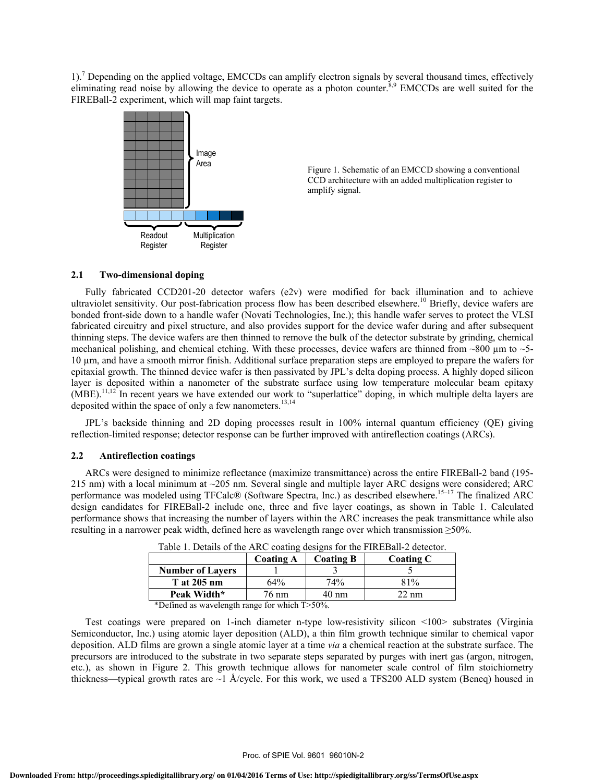1).<sup>7</sup> Depending on the applied voltage, EMCCDs can amplify electron signals by several thousand times, effectively eliminating read noise by allowing the device to operate as a photon counter.<sup>8,9</sup> EMCCDs are well suited for the FIREBall-2 experiment, which will map faint targets.



Figure 1. Schematic of an EMCCD showing a conventional CCD architecture with an added multiplication register to amplify signal.

#### **2.1 Two-dimensional doping**

Fully fabricated CCD201-20 detector wafers (e2v) were modified for back illumination and to achieve ultraviolet sensitivity. Our post-fabrication process flow has been described elsewhere.<sup>10</sup> Briefly, device wafers are bonded front-side down to a handle wafer (Novati Technologies, Inc.); this handle wafer serves to protect the VLSI fabricated circuitry and pixel structure, and also provides support for the device wafer during and after subsequent thinning steps. The device wafers are then thinned to remove the bulk of the detector substrate by grinding, chemical mechanical polishing, and chemical etching. With these processes, device wafers are thinned from  $\sim$ 800  $\mu$ m to  $\sim$ 5-10 µm, and have a smooth mirror finish. Additional surface preparation steps are employed to prepare the wafers for epitaxial growth. The thinned device wafer is then passivated by JPL's delta doping process. A highly doped silicon layer is deposited within a nanometer of the substrate surface using low temperature molecular beam epitaxy  $(MBE)$ <sup>11,12</sup> In recent years we have extended our work to "superlattice" doping, in which multiple delta layers are deposited within the space of only a few nanometers.<sup>13,14</sup>

JPL's backside thinning and 2D doping processes result in 100% internal quantum efficiency (QE) giving reflection-limited response; detector response can be further improved with antireflection coatings (ARCs).

#### **2.2 Antireflection coatings**

ARCs were designed to minimize reflectance (maximize transmittance) across the entire FIREBall-2 band (195- 215 nm) with a local minimum at  $\sim$ 205 nm. Several single and multiple layer ARC designs were considered; ARC performance was modeled using TFCalc® (Software Spectra, Inc.) as described elsewhere.<sup>15–17</sup> The finalized ARC design candidates for FIREBall-2 include one, three and five layer coatings, as shown in Table 1. Calculated performance shows that increasing the number of layers within the ARC increases the peak transmittance while also resulting in a narrower peak width, defined here as wavelength range over which transmission  $\geq 50\%$ .

|                                      | <b>Coating A</b> | <b>Coating B</b> | <b>Coating C</b> |
|--------------------------------------|------------------|------------------|------------------|
| <b>Number of Layers</b>              |                  |                  |                  |
| <b>T</b> at 205 nm                   | 64%              | 74%              | 81%              |
| Peak Width*                          | 76 nm            | 40 nm            | 22 nm            |
| _ _ _ _ _<br>____<br>____<br>_ _ _ _ |                  |                  |                  |

Table 1. Details of the ARC coating designs for the FIREBall-2 detector.

\*Defined as wavelength range for which T>50%.

Test coatings were prepared on 1-inch diameter n-type low-resistivity silicon <100> substrates (Virginia Semiconductor, Inc.) using atomic layer deposition (ALD), a thin film growth technique similar to chemical vapor deposition. ALD films are grown a single atomic layer at a time *via* a chemical reaction at the substrate surface. The precursors are introduced to the substrate in two separate steps separated by purges with inert gas (argon, nitrogen, etc.), as shown in Figure 2. This growth technique allows for nanometer scale control of film stoichiometry thickness—typical growth rates are  $\sim$ 1 Å/cycle. For this work, we used a TFS200 ALD system (Beneq) housed in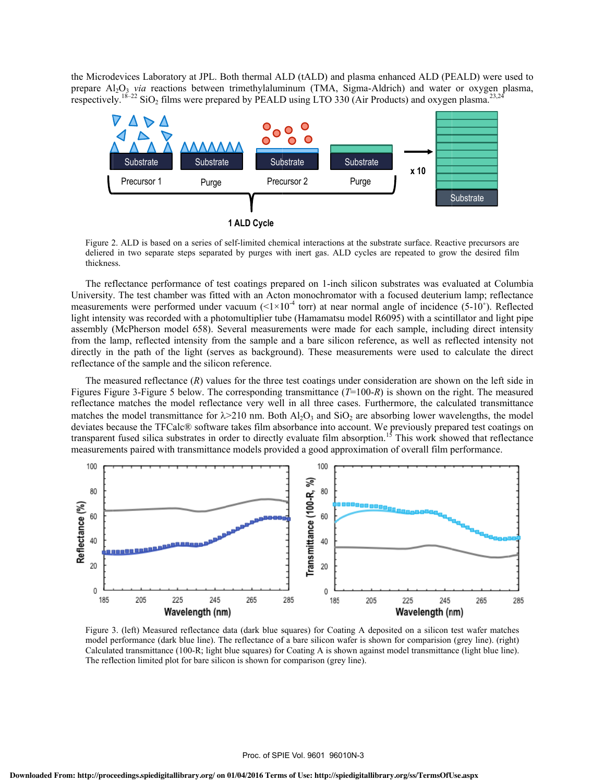the Microdevices Laboratory at JPL. Both thermal ALD (tALD) and plasma enhanced ALD (PEALD) were used to prepare A respectivel l2O3 *via* react ly. $^{18-22}$  SiO<sub>2</sub> fil tions between lms were prepa trimethylalum ared by PEALD minum (TMA, D using LTO 3 Sigma-Aldric 30 (Air Produc ch) and water cts) and oxyge or oxygen pl n plasma. $^{23,24}$ lasma,



**1 ALD Cycle** 

Figure 2. ALD is based on a series of self-limited chemical interactions at the substrate surface. Reactive precursors are deliered in two separate steps separated by purges with inert gas. ALD cycles are repeated to grow the desired film thicknes ss.

The reflectance performance of test coatings prepared on 1-inch silicon substrates was evaluated at Columbia University. The test chamber was fitted with an Acton monochromator with a focused deuterium lamp; reflectance measurements were performed under vacuum ( $\leq 1 \times 10^{-4}$  torr) at near normal angle of incidence (5-10°). Reflected light intensity was recorded with a photomultiplier tube (Hamamatsu model R6095) with a scintillator and light pipe assembly (McPherson model 658). Several measurements were made for each sample, including direct intensity from the lamp, reflected intensity from the sample and a bare silicon reference, as well as reflected intensity not directly in the path of the light (serves as background). These measurements were used to calculate the direct reflectance of the sample and the silicon reference.

The measured reflectance  $(R)$  values for the three test coatings under consideration are shown on the left side in Figures Figure 3-Figure 5 below. The corresponding transmittance  $(T=100-R)$  is shown on the right. The measured reflectance matches the model reflectance very well in all three cases. Furthermore, the calculated transmittance matches the model transmittance for  $\lambda > 210$  nm. Both  $A_1O_3$  and  $SiO_2$  are absorbing lower wavelengths, the model deviates because the TFCalc® software takes film absorbance into account. We previously prepared test coatings on transparent fused silica substrates in order to directly evaluate film absorption.<sup>15</sup> This work showed that reflectance measurements paired with transmittance models provided a good approximation of overall film performance.



Figure 3. (left) Measured reflectance data (dark blue squares) for Coating A deposited on a silicon test wafer matches model performance (dark blue line). The reflectance of a bare silicon wafer is shown for comparision (grey line). (right) Calculated transmittance (100-R; light blue squares) for Coating A is shown against model transmittance (light blue line). The reflection limited plot for bare silicon is shown for comparison (grey line).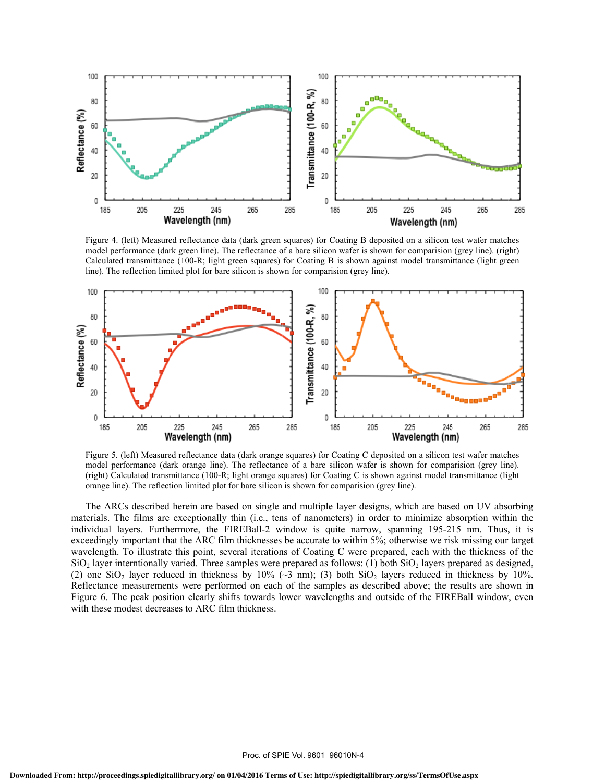

Figure 4. (left) Measured reflectance data (dark green squares) for Coating B deposited on a silicon test wafer matches model performance (dark green line). The reflectance of a bare silicon wafer is shown for comparision (grey line). (right) Calculated transmittance (100-R; light green squares) for Coating B is shown against model transmittance (light green line). The reflection limited plot for bare silicon is shown for comparision (grey line).



Figure 5. (left) Measured reflectance data (dark orange squares) for Coating C deposited on a silicon test wafer matches model performance (dark orange line). The reflectance of a bare silicon wafer is shown for comparision (grey line). (right) Calculated transmittance (100-R; light orange squares) for Coating C is shown against model transmittance (light orange line). The reflection limited plot for bare silicon is shown for comparision (grey line).

The ARCs described herein are based on single and multiple layer designs, which are based on UV absorbing materials. The films are exceptionally thin (i.e., tens of nanometers) in order to minimize absorption within the individual layers. Furthermore, the FIREBall-2 window is quite narrow, spanning 195-215 nm. Thus, it is exceedingly important that the ARC film thicknesses be accurate to within 5%; otherwise we risk missing our target wavelength. To illustrate this point, several iterations of Coating C were prepared, each with the thickness of the  $SiO<sub>2</sub>$  layer interntionally varied. Three samples were prepared as follows: (1) both  $SiO<sub>2</sub>$  layers prepared as designed, (2) one SiO<sub>2</sub> layer reduced in thickness by 10% ( $\sim$ 3 nm); (3) both SiO<sub>2</sub> layers reduced in thickness by 10%. Reflectance measurements were performed on each of the samples as described above; the results are shown in Figure 6. The peak position clearly shifts towards lower wavelengths and outside of the FIREBall window, even with these modest decreases to ARC film thickness.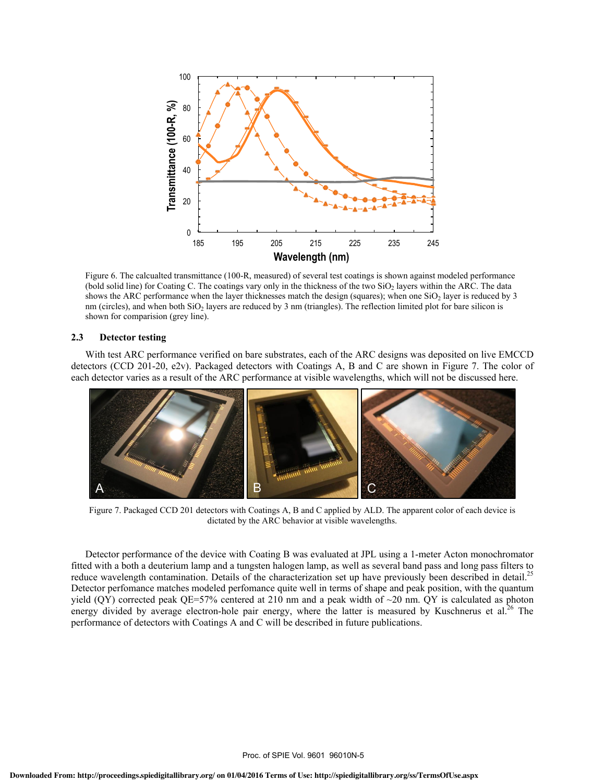

Figure 6. The calcualted transmittance (100-R, measured) of several test coatings is shown against modeled performance (bold solid line) for Coating C. The coatings vary only in the thickness of the two SiO<sub>2</sub> layers within the ARC. The data shows the ARC performance when the layer thicknesses match the design (squares); when one  $SiO<sub>2</sub>$  layer is reduced by 3 nm (circles), and when both  $SiO<sub>2</sub>$  layers are reduced by 3 nm (triangles). The reflection limited plot for bare silicon is shown for comparision (grey line).

# **2.3 Detector testing**

With test ARC performance verified on bare substrates, each of the ARC designs was deposited on live EMCCD detectors (CCD 201-20, e2v). Packaged detectors with Coatings A, B and C are shown in Figure 7. The color of each detector varies as a result of the ARC performance at visible wavelengths, which will not be discussed here.



Figure 7. Packaged CCD 201 detectors with Coatings A, B and C applied by ALD. The apparent color of each device is dictated by the ARC behavior at visible wavelengths.

Detector performance of the device with Coating B was evaluated at JPL using a 1-meter Acton monochromator fitted with a both a deuterium lamp and a tungsten halogen lamp, as well as several band pass and long pass filters to reduce wavelength contamination. Details of the characterization set up have previously been described in detail.<sup>25</sup> Detector perfomance matches modeled perfomance quite well in terms of shape and peak position, with the quantum yield (QY) corrected peak QE=57% centered at 210 nm and a peak width of  $\sim$ 20 nm. QY is calculated as photon energy divided by average electron-hole pair energy, where the latter is measured by Kuschnerus et al.<sup>26</sup> The performance of detectors with Coatings A and C will be described in future publications.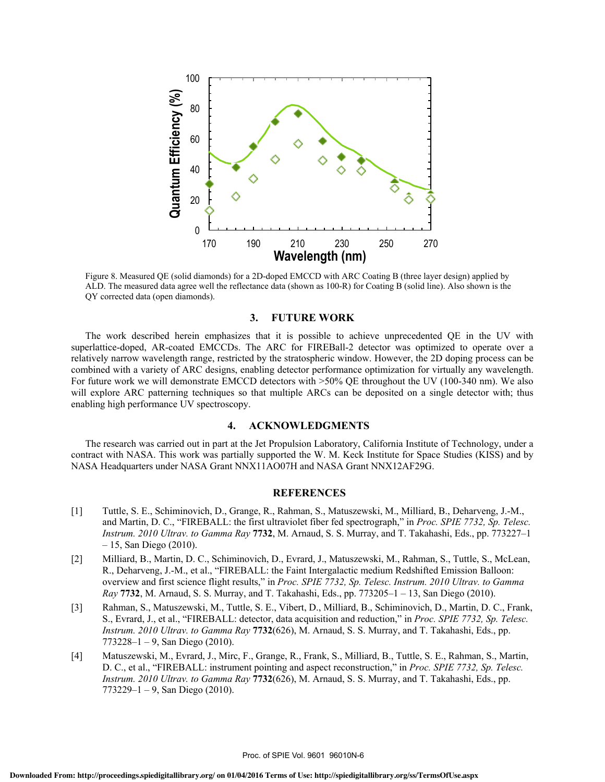

Figure 8. Measured QE (solid diamonds) for a 2D-doped EMCCD with ARC Coating B (three layer design) applied by ALD. The measured data agree well the reflectance data (shown as 100-R) for Coating B (solid line). Also shown is the QY corrected data (open diamonds).

### **3. FUTURE WORK**

The work described herein emphasizes that it is possible to achieve unprecedented QE in the UV with superlattice-doped, AR-coated EMCCDs. The ARC for FIREBall-2 detector was optimized to operate over a relatively narrow wavelength range, restricted by the stratospheric window. However, the 2D doping process can be combined with a variety of ARC designs, enabling detector performance optimization for virtually any wavelength. For future work we will demonstrate EMCCD detectors with >50% QE throughout the UV (100-340 nm). We also will explore ARC patterning techniques so that multiple ARCs can be deposited on a single detector with; thus enabling high performance UV spectroscopy.

## **4. ACKNOWLEDGMENTS**

The research was carried out in part at the Jet Propulsion Laboratory, California Institute of Technology, under a contract with NASA. This work was partially supported the W. M. Keck Institute for Space Studies (KISS) and by NASA Headquarters under NASA Grant NNX11AO07H and NASA Grant NNX12AF29G.

# **REFERENCES**

- [1] Tuttle, S. E., Schiminovich, D., Grange, R., Rahman, S., Matuszewski, M., Milliard, B., Deharveng, J.-M., and Martin, D. C., "FIREBALL: the first ultraviolet fiber fed spectrograph," in *Proc. SPIE 7732, Sp. Telesc. Instrum. 2010 Ultrav. to Gamma Ray* **7732**, M. Arnaud, S. S. Murray, and T. Takahashi, Eds., pp. 773227–1 – 15, San Diego (2010).
- [2] Milliard, B., Martin, D. C., Schiminovich, D., Evrard, J., Matuszewski, M., Rahman, S., Tuttle, S., McLean, R., Deharveng, J.-M., et al., "FIREBALL: the Faint Intergalactic medium Redshifted Emission Balloon: overview and first science flight results," in *Proc. SPIE 7732, Sp. Telesc. Instrum. 2010 Ultrav. to Gamma Ray* **7732**, M. Arnaud, S. S. Murray, and T. Takahashi, Eds., pp. 773205–1 – 13, San Diego (2010).
- [3] Rahman, S., Matuszewski, M., Tuttle, S. E., Vibert, D., Milliard, B., Schiminovich, D., Martin, D. C., Frank, S., Evrard, J., et al., "FIREBALL: detector, data acquisition and reduction," in *Proc. SPIE 7732, Sp. Telesc. Instrum. 2010 Ultrav. to Gamma Ray* **7732**(626), M. Arnaud, S. S. Murray, and T. Takahashi, Eds., pp.  $773228 - 1 - 9$ , San Diego (2010).
- [4] Matuszewski, M., Evrard, J., Mirc, F., Grange, R., Frank, S., Milliard, B., Tuttle, S. E., Rahman, S., Martin, D. C., et al., "FIREBALL: instrument pointing and aspect reconstruction," in *Proc. SPIE 7732, Sp. Telesc. Instrum. 2010 Ultrav. to Gamma Ray* **7732**(626), M. Arnaud, S. S. Murray, and T. Takahashi, Eds., pp. 773229–1 – 9, San Diego (2010).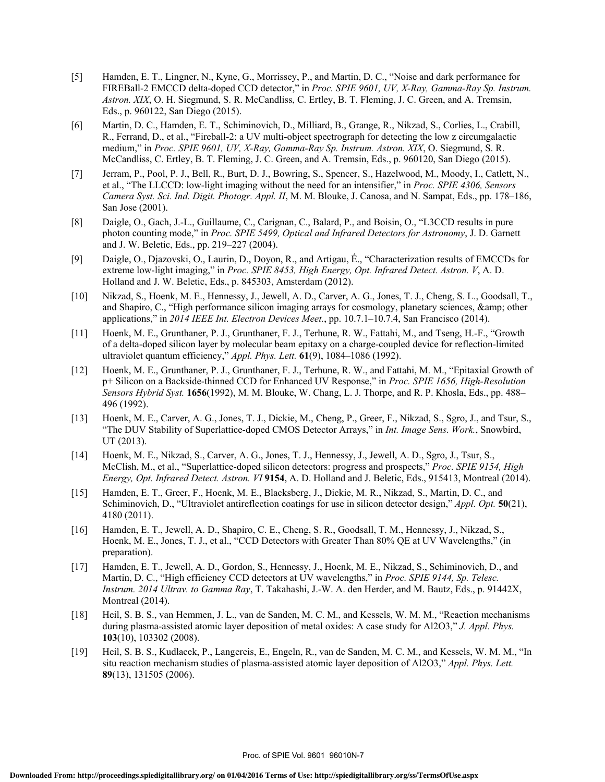- [5] Hamden, E. T., Lingner, N., Kyne, G., Morrissey, P., and Martin, D. C., "Noise and dark performance for FIREBall-2 EMCCD delta-doped CCD detector," in *Proc. SPIE 9601, UV, X-Ray, Gamma-Ray Sp. Instrum. Astron. XIX*, O. H. Siegmund, S. R. McCandliss, C. Ertley, B. T. Fleming, J. C. Green, and A. Tremsin, Eds., p. 960122, San Diego (2015).
- [6] Martin, D. C., Hamden, E. T., Schiminovich, D., Milliard, B., Grange, R., Nikzad, S., Corlies, L., Crabill, R., Ferrand, D., et al., "Fireball-2: a UV multi-object spectrograph for detecting the low z circumgalactic medium," in *Proc. SPIE 9601, UV, X-Ray, Gamma-Ray Sp. Instrum. Astron. XIX*, O. Siegmund, S. R. McCandliss, C. Ertley, B. T. Fleming, J. C. Green, and A. Tremsin, Eds., p. 960120, San Diego (2015).
- [7] Jerram, P., Pool, P. J., Bell, R., Burt, D. J., Bowring, S., Spencer, S., Hazelwood, M., Moody, I., Catlett, N., et al., "The LLCCD: low-light imaging without the need for an intensifier," in *Proc. SPIE 4306, Sensors Camera Syst. Sci. Ind. Digit. Photogr. Appl. II*, M. M. Blouke, J. Canosa, and N. Sampat, Eds., pp. 178–186, San Jose (2001).
- [8] Daigle, O., Gach, J.-L., Guillaume, C., Carignan, C., Balard, P., and Boisin, O., "L3CCD results in pure photon counting mode," in *Proc. SPIE 5499, Optical and Infrared Detectors for Astronomy*, J. D. Garnett and J. W. Beletic, Eds., pp. 219–227 (2004).
- [9] Daigle, O., Djazovski, O., Laurin, D., Doyon, R., and Artigau, É., "Characterization results of EMCCDs for extreme low-light imaging," in *Proc. SPIE 8453, High Energy, Opt. Infrared Detect. Astron. V*, A. D. Holland and J. W. Beletic, Eds., p. 845303, Amsterdam (2012).
- [10] Nikzad, S., Hoenk, M. E., Hennessy, J., Jewell, A. D., Carver, A. G., Jones, T. J., Cheng, S. L., Goodsall, T., and Shapiro, C., "High performance silicon imaging arrays for cosmology, planetary sciences, & amp; other applications," in *2014 IEEE Int. Electron Devices Meet.*, pp. 10.7.1–10.7.4, San Francisco (2014).
- [11] Hoenk, M. E., Grunthaner, P. J., Grunthaner, F. J., Terhune, R. W., Fattahi, M., and Tseng, H.-F., "Growth of a delta-doped silicon layer by molecular beam epitaxy on a charge-coupled device for reflection-limited ultraviolet quantum efficiency," *Appl. Phys. Lett.* **61**(9), 1084–1086 (1992).
- [12] Hoenk, M. E., Grunthaner, P. J., Grunthaner, F. J., Terhune, R. W., and Fattahi, M. M., "Epitaxial Growth of p+ Silicon on a Backside-thinned CCD for Enhanced UV Response," in *Proc. SPIE 1656, High-Resolution Sensors Hybrid Syst.* **1656**(1992), M. M. Blouke, W. Chang, L. J. Thorpe, and R. P. Khosla, Eds., pp. 488– 496 (1992).
- [13] Hoenk, M. E., Carver, A. G., Jones, T. J., Dickie, M., Cheng, P., Greer, F., Nikzad, S., Sgro, J., and Tsur, S., "The DUV Stability of Superlattice-doped CMOS Detector Arrays," in *Int. Image Sens. Work.*, Snowbird, UT (2013).
- [14] Hoenk, M. E., Nikzad, S., Carver, A. G., Jones, T. J., Hennessy, J., Jewell, A. D., Sgro, J., Tsur, S., McClish, M., et al., "Superlattice-doped silicon detectors: progress and prospects," *Proc. SPIE 9154, High Energy, Opt. Infrared Detect. Astron. VI* **9154**, A. D. Holland and J. Beletic, Eds., 915413, Montreal (2014).
- [15] Hamden, E. T., Greer, F., Hoenk, M. E., Blacksberg, J., Dickie, M. R., Nikzad, S., Martin, D. C., and Schiminovich, D., "Ultraviolet antireflection coatings for use in silicon detector design," *Appl. Opt.* **50**(21), 4180 (2011).
- [16] Hamden, E. T., Jewell, A. D., Shapiro, C. E., Cheng, S. R., Goodsall, T. M., Hennessy, J., Nikzad, S., Hoenk, M. E., Jones, T. J., et al., "CCD Detectors with Greater Than 80% QE at UV Wavelengths," (in preparation).
- [17] Hamden, E. T., Jewell, A. D., Gordon, S., Hennessy, J., Hoenk, M. E., Nikzad, S., Schiminovich, D., and Martin, D. C., "High efficiency CCD detectors at UV wavelengths," in *Proc. SPIE 9144, Sp. Telesc. Instrum. 2014 Ultrav. to Gamma Ray*, T. Takahashi, J.-W. A. den Herder, and M. Bautz, Eds., p. 91442X, Montreal (2014).
- [18] Heil, S. B. S., van Hemmen, J. L., van de Sanden, M. C. M., and Kessels, W. M. M., "Reaction mechanisms during plasma-assisted atomic layer deposition of metal oxides: A case study for Al2O3," *J. Appl. Phys.* **103**(10), 103302 (2008).
- [19] Heil, S. B. S., Kudlacek, P., Langereis, E., Engeln, R., van de Sanden, M. C. M., and Kessels, W. M. M., "In situ reaction mechanism studies of plasma-assisted atomic layer deposition of Al2O3," *Appl. Phys. Lett.* **89**(13), 131505 (2006).